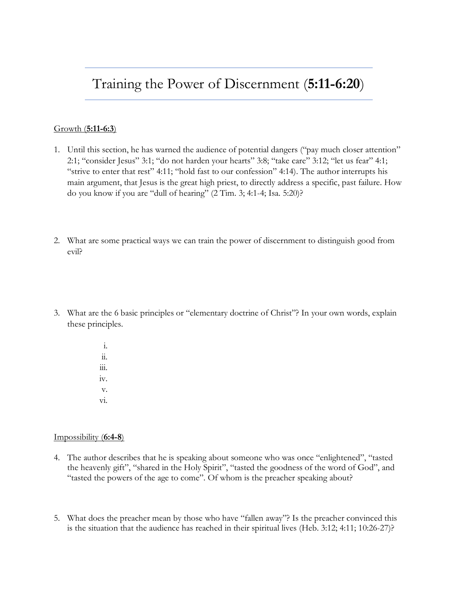# Training the Power of Discernment (**5:11-6:20**)

### Growth (**5:11-6:3**)

- 1. Until this section, he has warned the audience of potential dangers ("pay much closer attention" 2:1; "consider Jesus" 3:1; "do not harden your hearts" 3:8; "take care" 3:12; "let us fear" 4:1; "strive to enter that rest" 4:11; "hold fast to our confession" 4:14). The author interrupts his main argument, that Jesus is the great high priest, to directly address a specific, past failure. How do you know if you are "dull of hearing" (2 Tim. 3; 4:1-4; Isa. 5:20)?
- 2. What are some practical ways we can train the power of discernment to distinguish good from evil?
- 3. What are the 6 basic principles or "elementary doctrine of Christ"? In your own words, explain these principles.
	- i. ii. iii. iv. v. vi.

#### Impossibility (**6:4-8**)

- 4. The author describes that he is speaking about someone who was once "enlightened", "tasted the heavenly gift", "shared in the Holy Spirit", "tasted the goodness of the word of God", and "tasted the powers of the age to come". Of whom is the preacher speaking about?
- 5. What does the preacher mean by those who have "fallen away"? Is the preacher convinced this is the situation that the audience has reached in their spiritual lives (Heb. 3:12; 4:11; 10:26-27)?